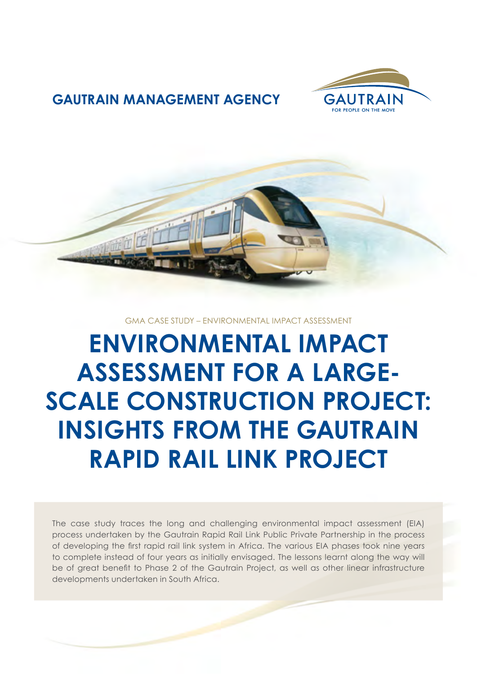

### **GAUTRAIN MANAGEMENT AGENCY**



GMA CASE STUDY – ENVIRONMENTAL IMPACT ASSESSMENT

**ENVIRONMENTAL IMPACT ASSESSMENT FOR A LARGE-SCALE CONSTRUCTION PROJECT: INSIGHTS FROM THE GAUTRAIN RAPID RAIL LINK PROJECT**

The case study traces the long and challenging environmental impact assessment (EIA) process undertaken by the Gautrain Rapid Rail Link Public Private Partnership in the process of developing the first rapid rail link system in Africa. The various EIA phases took nine years to complete instead of four years as initially envisaged. The lessons learnt along the way will be of great benefit to Phase 2 of the Gautrain Project, as well as other linear infrastructure developments undertaken in South Africa.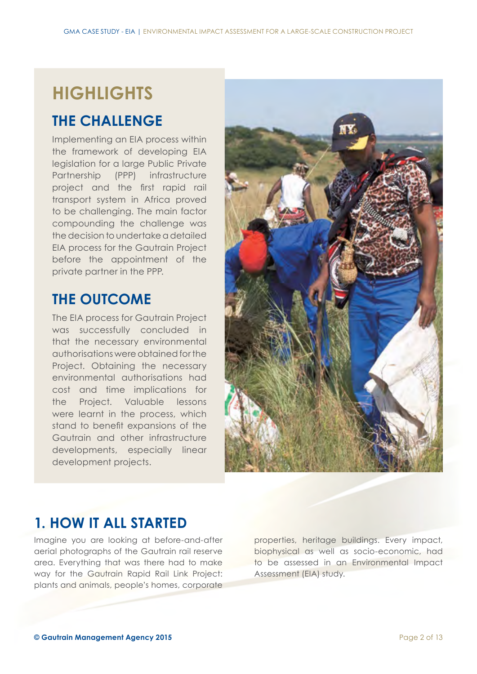# **HIGHLIGHTS**

### **THE CHALLENGE**

Implementing an EIA process within the framework of developing EIA legislation for a large Public Private Partnership (PPP) infrastructure project and the first rapid rail transport system in Africa proved to be challenging. The main factor compounding the challenge was the decision to undertake a detailed EIA process for the Gautrain Project before the appointment of the private partner in the PPP.

## **THE OUTCOME**

The EIA process for Gautrain Project was successfully concluded in that the necessary environmental authorisations were obtained for the Project. Obtaining the necessary environmental authorisations had cost and time implications for the Project. Valuable lessons were learnt in the process, which stand to benefit expansions of the Gautrain and other infrastructure developments, especially linear development projects.



### **1. HOW IT ALL STARTED**

Imagine you are looking at before-and-after aerial photographs of the Gautrain rail reserve area. Everything that was there had to make way for the Gautrain Rapid Rail Link Project: plants and animals, people's homes, corporate properties, heritage buildings. Every impact, biophysical as well as socio-economic, had to be assessed in an Environmental Impact Assessment (EIA) study.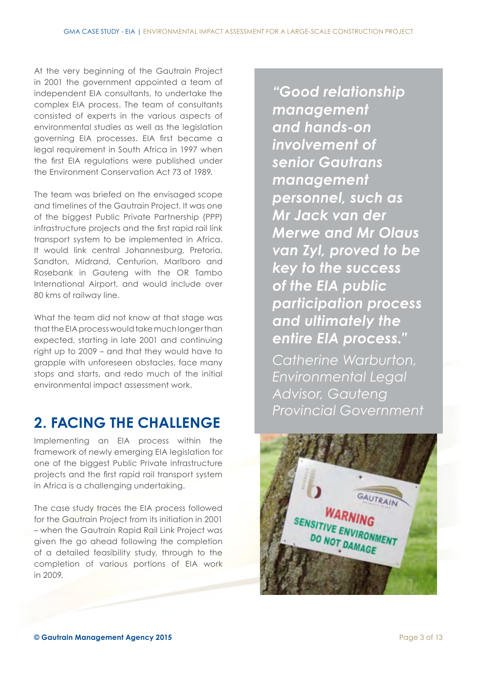At the very beginning of the Gautrain Project in 2001 the government appointed a team of independent EIA consultants, to undertake the complex EIA process. The team of consultants consisted of experts in the various aspects of environmental studies as well as the legislation governing EIA processes. EIA first became a legal requirement in South Africa in 1997 when the first EIA regulations were published under the Environment Conservation Act 73 of 1989.

The team was briefed on the envisaged scope and timelines of the Gautrain Project. It was one of the biggest Public Private Partnership (PPP) infrastructure projects and the first rapid rail link transport system to be implemented in Africa. It would link central Johannesburg, Pretoria, Sandton, Midrand, Centurion, Marlboro and Rosebank in Gauteng with the OR Tambo International Airport, and would include over 80 kms of railway line.

What the team did not know at that stage was that the EIA process would take much longer than expected, starting in late 2001 and continuing right up to 2009 – and that they would have to grapple with unforeseen obstacles, face many stops and starts, and redo much of the initial environmental impact assessment work.

### **2. FACING THE CHALLENGE**

Implementing an EIA process within the framework of newly emerging EIA legislation for one of the biggest Public Private infrastructure projects and the first rapid rail transport system in Africa is a challenging undertaking.

The case study traces the EIA process followed for the Gautrain Project from its initiation in 2001 – when the Gautrain Rapid Rail Link Project was given the go ahead following the completion of a detailed feasibility study, through to the completion of various portions of EIA work in 2009.

*"Good relationship management and hands-on involvement of senior Gautrans management personnel, such as Mr Jack van der Merwe and Mr Olaus van Zyl, proved to be key to the success of the EIA public participation process and ultimately the entire EIA process."*

*Catherine Warburton, Environmental Legal Advisor, Gauteng Provincial Government*

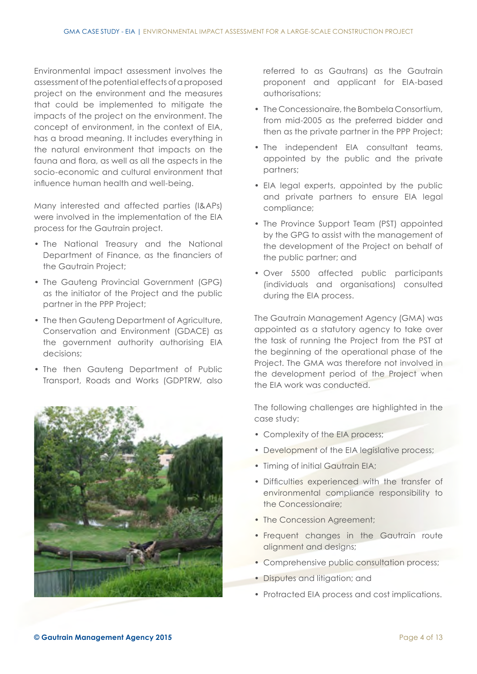Environmental impact assessment involves the assessment of the potential effects of a proposed project on the environment and the measures that could be implemented to mitigate the impacts of the project on the environment. The concept of environment, in the context of EIA, has a broad meaning. It includes everything in the natural environment that impacts on the fauna and flora, as well as all the aspects in the socio-economic and cultural environment that influence human health and well-being.

Many interested and affected parties (I&APs) were involved in the implementation of the EIA process for the Gautrain project.

- The National Treasury and the National Department of Finance, as the financiers of the Gautrain Project;
- The Gauteng Provincial Government (GPG) as the initiator of the Project and the public partner in the PPP Project;
- The then Gautena Department of Agriculture, Conservation and Environment (GDACE) as the government authority authorising EIA decisions;
- The then Gauteng Department of Public Transport, Roads and Works (GDPTRW, also



referred to as Gautrans) as the Gautrain proponent and applicant for EIA-based authorisations;

- The Concessionaire, the Bombela Consortium, from mid-2005 as the preferred bidder and then as the private partner in the PPP Project;
- The independent EIA consultant teams, appointed by the public and the private partners;
- EIA legal experts, appointed by the public and private partners to ensure EIA legal compliance;
- The Province Support Team (PST) appointed by the GPG to assist with the management of the development of the Project on behalf of the public partner; and
- Over 5500 affected public participants (individuals and organisations) consulted during the EIA process.

The Gautrain Management Agency (GMA) was appointed as a statutory agency to take over the task of running the Project from the PST at the beginning of the operational phase of the Project. The GMA was therefore not involved in the development period of the Project when the EIA work was conducted.

The following challenges are highlighted in the case study:

- Complexity of the EIA process;
- Development of the EIA legislative process;
- Timing of initial Gautrain EIA;
- Difficulties experienced with the transfer of environmental compliance responsibility to the Concessionaire;
- The Concession Agreement;
- Frequent changes in the Gautrain route alignment and designs;
- Comprehensive public consultation process;
- Disputes and litigation; and
- Protracted EIA process and cost implications.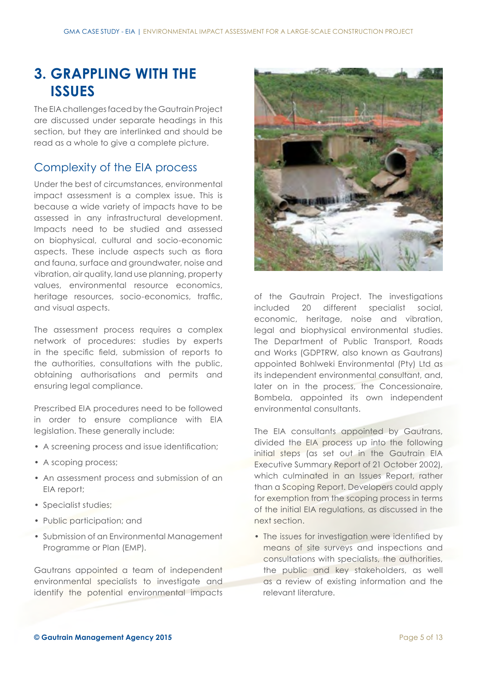### **3. GRAPPLING WITH THE ISSUES**

The EIA challenges faced by the Gautrain Project are discussed under separate headings in this section, but they are interlinked and should be read as a whole to give a complete picture.

#### Complexity of the EIA process

Under the best of circumstances, environmental impact assessment is a complex issue. This is because a wide variety of impacts have to be assessed in any infrastructural development. Impacts need to be studied and assessed on biophysical, cultural and socio-economic aspects. These include aspects such as flora and fauna, surface and groundwater, noise and vibration, air quality, land use planning, property values, environmental resource economics, heritage resources, socio-economics, traffic, and visual aspects.

The assessment process requires a complex network of procedures: studies by experts in the specific field, submission of reports to the authorities, consultations with the public, obtaining authorisations and permits and ensuring legal compliance.

Prescribed EIA procedures need to be followed in order to ensure compliance with EIA legislation. These generally include:

- A screening process and issue identification;
- A scoping process;
- An assessment process and submission of an EIA report;
- Specialist studies;
- Public participation; and
- Submission of an Environmental Management Programme or Plan (EMP).

Gautrans appointed a team of independent environmental specialists to investigate and identify the potential environmental impacts



of the Gautrain Project. The investigations included 20 different specialist social, economic, heritage, noise and vibration, legal and biophysical environmental studies. The Department of Public Transport, Roads and Works (GDPTRW, also known as Gautrans) appointed Bohlweki Environmental (Pty) Ltd as its independent environmental consultant, and, later on in the process, the Concessionaire, Bombela, appointed its own independent environmental consultants.

The EIA consultants appointed by Gautrans, divided the EIA process up into the following initial steps (as set out in the Gautrain EIA Executive Summary Report of 21 October 2002), which culminated in an Issues Report, rather than a Scoping Report. Developers could apply for exemption from the scoping process in terms of the initial EIA regulations, as discussed in the next section.

• The issues for investigation were identified by means of site surveys and inspections and consultations with specialists, the authorities, the public and key stakeholders, as well as a review of existing information and the relevant literature.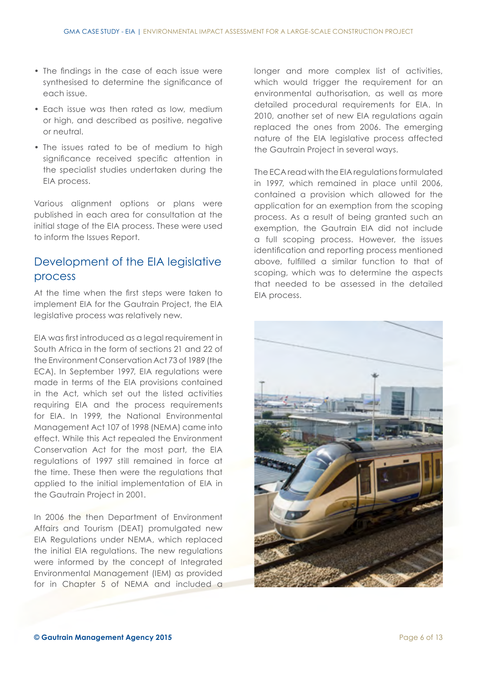- The findings in the case of each issue were synthesised to determine the significance of each issue.
- Each issue was then rated as low, medium or high, and described as positive, negative or neutral.
- The issues rated to be of medium to high significance received specific attention in the specialist studies undertaken during the EIA process.

Various alignment options or plans were published in each area for consultation at the initial stage of the EIA process. These were used to inform the Issues Report.

#### Development of the EIA legislative process

At the time when the first steps were taken to implement EIA for the Gautrain Project, the EIA legislative process was relatively new.

EIA was first introduced as a legal requirement in South Africa in the form of sections 21 and 22 of the Environment Conservation Act 73 of 1989 (the ECA). In September 1997, EIA regulations were made in terms of the EIA provisions contained in the Act, which set out the listed activities requiring EIA and the process requirements for EIA. In 1999, the National Environmental Management Act 107 of 1998 (NEMA) came into effect. While this Act repealed the Environment Conservation Act for the most part, the EIA regulations of 1997 still remained in force at the time. These then were the regulations that applied to the initial implementation of EIA in the Gautrain Project in 2001.

In 2006 the then Department of Environment Affairs and Tourism (DEAT) promulgated new EIA Regulations under NEMA, which replaced the initial EIA regulations. The new regulations were informed by the concept of Integrated Environmental Management (IEM) as provided for in Chapter 5 of NEMA and included a longer and more complex list of activities, which would trigger the requirement for an environmental authorisation, as well as more detailed procedural requirements for EIA. In 2010, another set of new EIA regulations again replaced the ones from 2006. The emerging nature of the EIA legislative process affected the Gautrain Project in several ways.

The ECA read with the EIA regulations formulated in 1997, which remained in place until 2006, contained a provision which allowed for the application for an exemption from the scoping process. As a result of being granted such an exemption, the Gautrain EIA did not include a full scoping process. However, the issues identification and reporting process mentioned above, fulfilled a similar function to that of scoping, which was to determine the aspects that needed to be assessed in the detailed EIA process.

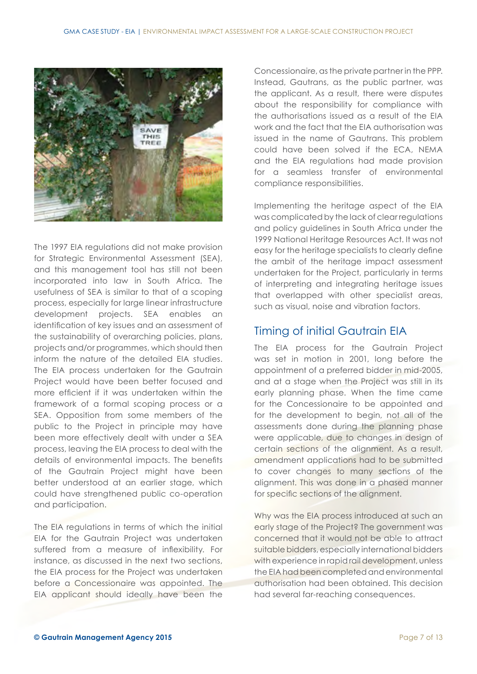

The 1997 EIA regulations did not make provision for Strategic Environmental Assessment (SEA), and this management tool has still not been incorporated into law in South Africa. The usefulness of SEA is similar to that of a scoping process, especially for large linear infrastructure development projects. SEA enables an identification of key issues and an assessment of the sustainability of overarching policies, plans, projects and/or programmes, which should then inform the nature of the detailed EIA studies. The EIA process undertaken for the Gautrain Project would have been better focused and more efficient if it was undertaken within the framework of a formal scoping process or a SEA. Opposition from some members of the public to the Project in principle may have been more effectively dealt with under a SEA process, leaving the EIA process to deal with the details of environmental impacts. The benefits of the Gautrain Project might have been better understood at an earlier stage, which could have strengthened public co-operation and participation.

The EIA regulations in terms of which the initial EIA for the Gautrain Project was undertaken suffered from a measure of inflexibility. For instance, as discussed in the next two sections, the EIA process for the Project was undertaken before a Concessionaire was appointed. The EIA applicant should ideally have been the

Concessionaire, as the private partner in the PPP. Instead, Gautrans, as the public partner, was the applicant. As a result, there were disputes about the responsibility for compliance with the authorisations issued as a result of the EIA work and the fact that the EIA authorisation was issued in the name of Gautrans. This problem could have been solved if the ECA, NEMA and the EIA regulations had made provision for a seamless transfer of environmental compliance responsibilities.

Implementing the heritage aspect of the EIA was complicated by the lack of clear regulations and policy guidelines in South Africa under the 1999 National Heritage Resources Act. It was not easy for the heritage specialists to clearly define the ambit of the heritage impact assessment undertaken for the Project, particularly in terms of interpreting and integrating heritage issues that overlapped with other specialist areas, such as visual, noise and vibration factors.

#### Timing of initial Gautrain EIA

The EIA process for the Gautrain Project was set in motion in 2001, long before the appointment of a preferred bidder in mid-2005, and at a stage when the Project was still in its early planning phase. When the time came for the Concessionaire to be appointed and for the development to begin, not all of the assessments done during the planning phase were applicable, due to changes in design of certain sections of the alignment. As a result, amendment applications had to be submitted to cover changes to many sections of the alignment. This was done in a phased manner for specific sections of the alignment.

Why was the EIA process introduced at such an early stage of the Project? The government was concerned that it would not be able to attract suitable bidders, especially international bidders with experience in rapid rail development, unless the EIA had been completed and environmental authorisation had been obtained. This decision had several far-reaching consequences.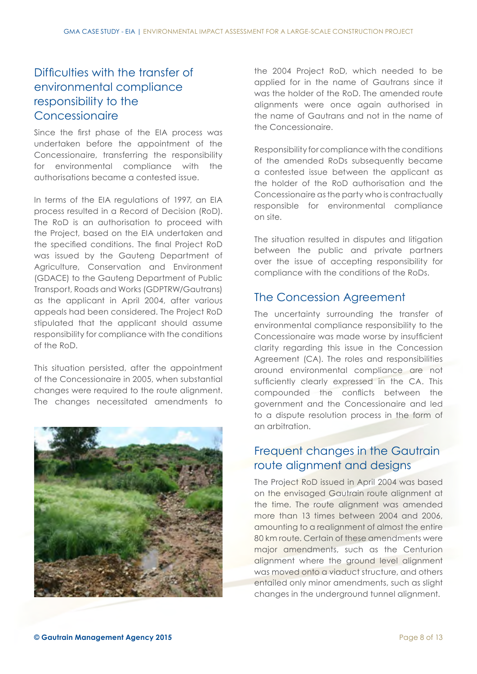#### Difficulties with the transfer of environmental compliance responsibility to the **Concessionaire**

Since the first phase of the EIA process was undertaken before the appointment of the Concessionaire, transferring the responsibility for environmental compliance with the authorisations became a contested issue.

In terms of the EIA regulations of 1997, an EIA process resulted in a Record of Decision (RoD). The RoD is an authorisation to proceed with the Project, based on the EIA undertaken and the specified conditions. The final Project RoD was issued by the Gauteng Department of Agriculture, Conservation and Environment (GDACE) to the Gauteng Department of Public Transport, Roads and Works (GDPTRW/Gautrans) as the applicant in April 2004, after various appeals had been considered. The Project RoD stipulated that the applicant should assume responsibility for compliance with the conditions of the RoD.

This situation persisted, after the appointment of the Concessionaire in 2005, when substantial changes were required to the route alignment. The changes necessitated amendments to



the 2004 Project RoD, which needed to be applied for in the name of Gautrans since it was the holder of the RoD. The amended route alignments were once again authorised in the name of Gautrans and not in the name of the Concessionaire.

Responsibility for compliance with the conditions of the amended RoDs subsequently became a contested issue between the applicant as the holder of the RoD authorisation and the Concessionaire as the party who is contractually responsible for environmental compliance on site.

The situation resulted in disputes and litigation between the public and private partners over the issue of accepting responsibility for compliance with the conditions of the RoDs.

#### The Concession Agreement

The uncertainty surrounding the transfer of environmental compliance responsibility to the Concessionaire was made worse by insufficient clarity regarding this issue in the Concession Agreement (CA). The roles and responsibilities around environmental compliance are not sufficiently clearly expressed in the CA. This compounded the conflicts between the government and the Concessionaire and led to a dispute resolution process in the form of an arbitration.

#### Frequent changes in the Gautrain route alignment and designs

The Project RoD issued in April 2004 was based on the envisaged Gautrain route alignment at the time. The route alignment was amended more than 13 times between 2004 and 2006, amounting to a realignment of almost the entire 80 km route. Certain of these amendments were major amendments, such as the Centurion alignment where the ground level alignment was moved onto a viaduct structure, and others entailed only minor amendments, such as slight changes in the underground tunnel alignment.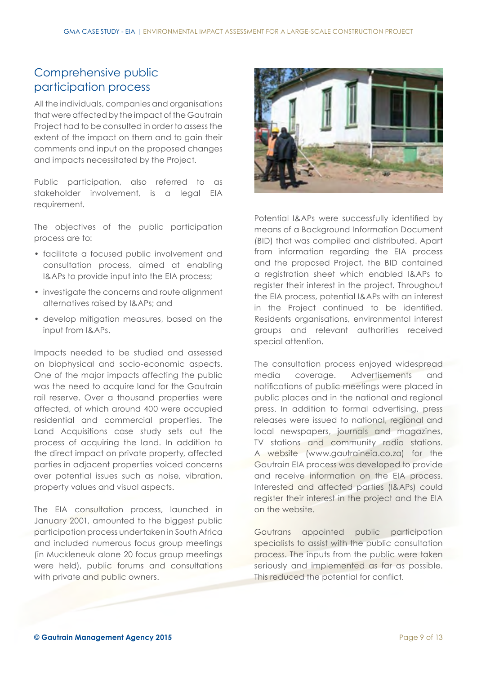### Comprehensive public participation process

All the individuals, companies and organisations that were affected by the impact of the Gautrain Project had to be consulted in order to assess the extent of the impact on them and to gain their comments and input on the proposed changes and impacts necessitated by the Project.

Public participation, also referred to as stakeholder involvement, is a legal EIA requirement.

The objectives of the public participation process are to:

- facilitate a focused public involvement and consultation process, aimed at enabling I&APs to provide input into the EIA process;
- investigate the concerns and route alignment alternatives raised by I&APs; and
- develop mitigation measures, based on the input from I&APs.

Impacts needed to be studied and assessed on biophysical and socio-economic aspects. One of the major impacts affecting the public was the need to acquire land for the Gautrain rail reserve. Over a thousand properties were affected, of which around 400 were occupied residential and commercial properties. The Land Acquisitions case study sets out the process of acquiring the land. In addition to the direct impact on private property, affected parties in adjacent properties voiced concerns over potential issues such as noise, vibration, property values and visual aspects.

The EIA consultation process, launched in January 2001, amounted to the biggest public participation process undertaken in South Africa and included numerous focus group meetings (in Muckleneuk alone 20 focus group meetings were held), public forums and consultations with private and public owners.



Potential I&APs were successfully identified by means of a Background Information Document (BID) that was compiled and distributed. Apart from information regarding the EIA process and the proposed Project, the BID contained a registration sheet which enabled I&APs to register their interest in the project. Throughout the EIA process, potential I&APs with an interest in the Project continued to be identified. Residents organisations, environmental interest groups and relevant authorities received special attention.

The consultation process enjoyed widespread media coverage. Advertisements and notifications of public meetings were placed in public places and in the national and regional press. In addition to formal advertising, press releases were issued to national, regional and local newspapers, journals and magazines, TV stations and community radio stations. A website (www.gautraineia.co.za) for the Gautrain EIA process was developed to provide and receive information on the EIA process. Interested and affected parties (I&APs) could register their interest in the project and the EIA on the website.

Gautrans appointed public participation specialists to assist with the public consultation process. The inputs from the public were taken seriously and implemented as far as possible. This reduced the potential for conflict.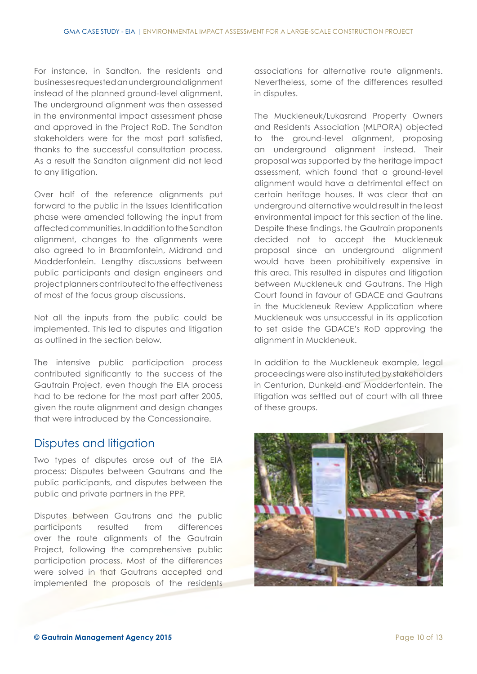For instance, in Sandton, the residents and businesses requested an underground alignment instead of the planned ground-level alignment. The underground alignment was then assessed in the environmental impact assessment phase and approved in the Project RoD. The Sandton stakeholders were for the most part satisfied, thanks to the successful consultation process. As a result the Sandton alignment did not lead to any litigation.

Over half of the reference alignments put forward to the public in the Issues Identification phase were amended following the input from affected communities. In addition to the Sandton alignment, changes to the alignments were also agreed to in Braamfontein, Midrand and Modderfontein. Lengthy discussions between public participants and design engineers and project planners contributed to the effectiveness of most of the focus group discussions.

Not all the inputs from the public could be implemented. This led to disputes and litigation as outlined in the section below.

The intensive public participation process contributed significantly to the success of the Gautrain Project, even though the EIA process had to be redone for the most part after 2005, given the route alignment and design changes that were introduced by the Concessionaire.

#### Disputes and litigation

Two types of disputes arose out of the EIA process: Disputes between Gautrans and the public participants, and disputes between the public and private partners in the PPP.

Disputes between Gautrans and the public participants resulted from differences over the route alignments of the Gautrain Project, following the comprehensive public participation process. Most of the differences were solved in that Gautrans accepted and implemented the proposals of the residents associations for alternative route alignments. Nevertheless, some of the differences resulted in disputes.

The Muckleneuk/Lukasrand Property Owners and Residents Association (MLPORA) objected to the ground-level alignment, proposing an underground alignment instead. Their proposal was supported by the heritage impact assessment, which found that a ground-level alignment would have a detrimental effect on certain heritage houses. It was clear that an underground alternative would result in the least environmental impact for this section of the line. Despite these findings, the Gautrain proponents decided not to accept the Muckleneuk proposal since an underground alignment would have been prohibitively expensive in this area. This resulted in disputes and litigation between Muckleneuk and Gautrans. The High Court found in favour of GDACE and Gautrans in the Muckleneuk Review Application where Muckleneuk was unsuccessful in its application to set aside the GDACE's RoD approving the alignment in Muckleneuk.

In addition to the Muckleneuk example, legal proceedings were also instituted by stakeholders in Centurion, Dunkeld and Modderfontein. The litigation was settled out of court with all three of these groups.

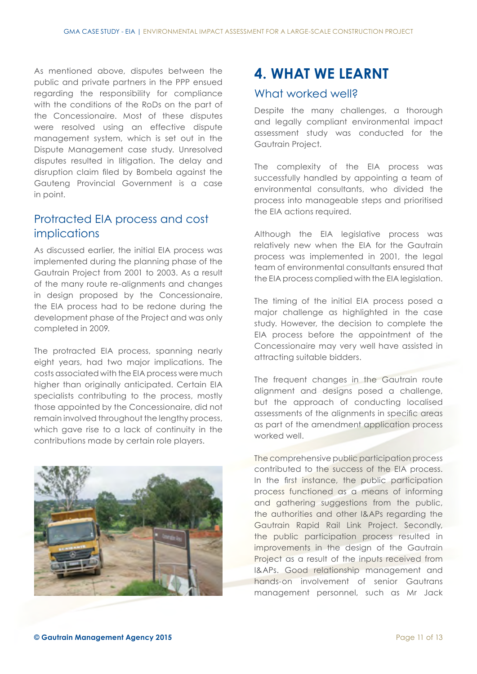As mentioned above, disputes between the public and private partners in the PPP ensued regarding the responsibility for compliance with the conditions of the RoDs on the part of the Concessionaire. Most of these disputes were resolved using an effective dispute management system, which is set out in the Dispute Management case study. Unresolved disputes resulted in litigation. The delay and disruption claim filed by Bombela against the Gauteng Provincial Government is a case in point.

#### Protracted EIA process and cost implications

As discussed earlier, the initial EIA process was implemented during the planning phase of the Gautrain Project from 2001 to 2003. As a result of the many route re-alignments and changes in design proposed by the Concessionaire, the EIA process had to be redone during the development phase of the Project and was only completed in 2009.

The protracted EIA process, spanning nearly eight years, had two major implications. The costs associated with the EIA process were much higher than originally anticipated. Certain EIA specialists contributing to the process, mostly those appointed by the Concessionaire, did not remain involved throughout the lengthy process, which gave rise to a lack of continuity in the contributions made by certain role players.



## **4. WHAT WE LEARNT**

#### What worked well?

Despite the many challenges, a thorough and legally compliant environmental impact assessment study was conducted for the Gautrain Project.

The complexity of the EIA process was successfully handled by appointing a team of environmental consultants, who divided the process into manageable steps and prioritised the EIA actions required.

Although the EIA legislative process was relatively new when the EIA for the Gautrain process was implemented in 2001, the legal team of environmental consultants ensured that the EIA process complied with the EIA legislation.

The timing of the initial EIA process posed a major challenge as highlighted in the case study. However, the decision to complete the EIA process before the appointment of the Concessionaire may very well have assisted in attracting suitable bidders.

The frequent changes in the Gautrain route alignment and designs posed a challenge, but the approach of conducting localised assessments of the alignments in specific areas as part of the amendment application process worked well.

The comprehensive public participation process contributed to the success of the EIA process. In the first instance, the public participation process functioned as a means of informing and gathering suggestions from the public, the authorities and other I&APs regarding the Gautrain Rapid Rail Link Project. Secondly, the public participation process resulted in improvements in the design of the Gautrain Project as a result of the inputs received from I&APs. Good relationship management and hands-on involvement of senior Gautrans management personnel, such as Mr Jack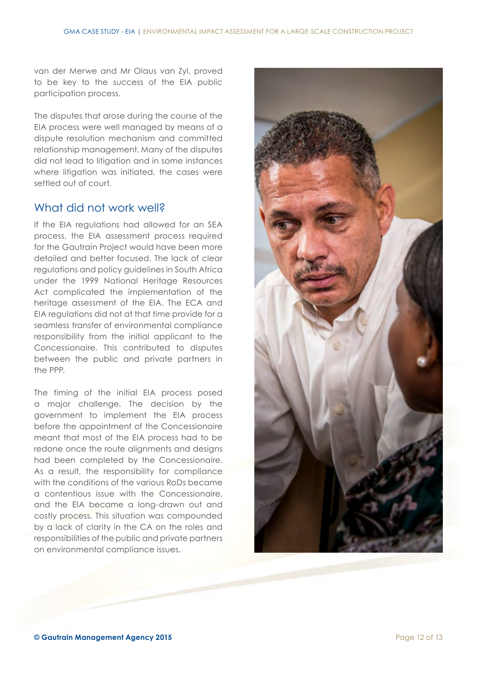van der Merwe and Mr Olaus van Zyl, proved to be key to the success of the EIA public participation process.

The disputes that arose during the course of the EIA process were well managed by means of a dispute resolution mechanism and committed relationship management. Many of the disputes did not lead to litigation and in some instances where litigation was initiated, the cases were settled out of court.

#### What did not work well?

If the EIA regulations had allowed for an SEA process, the EIA assessment process required for the Gautrain Project would have been more detailed and better focused. The lack of clear regulations and policy guidelines in South Africa under the 1999 National Heritage Resources Act complicated the implementation of the heritage assessment of the EIA. The ECA and EIA regulations did not at that time provide for a seamless transfer of environmental compliance responsibility from the initial applicant to the Concessionaire. This contributed to disputes between the public and private partners in the PPP.

The timing of the initial EIA process posed a major challenge. The decision by the government to implement the EIA process before the appointment of the Concessionaire meant that most of the EIA process had to be redone once the route alignments and designs had been completed by the Concessionaire. As a result, the responsibility for compliance with the conditions of the various RoDs became a contentious issue with the Concessionaire, and the EIA became a long-drawn out and costly process. This situation was compounded by a lack of clarity in the CA on the roles and responsibilities of the public and private partners on environmental compliance issues.